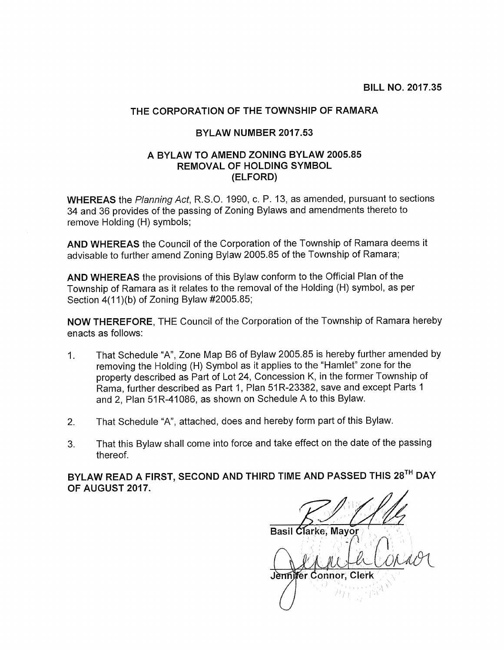## THE CORPORATION OF THE TOWNSHIP OF RAMARA

## BYLAW NUMBER 2017.53

## A BYLAW TO AMEND ZONING BYLAW 2005.85 REMOVAL OF HOLDING SYMBOL (ELFORD)

WHEREAS the Planning Act, R.S.O. 1990, c. P. 13, as amended, pursuant to sections 34 and 36 provides of the passing of Zoning Bylaws and amendments thereto to remove Holding (H) symbols;

AND WHEREAS the Council of the Corporation of the Township of Ramara deems it advisable to further amend Zoning Bylaw 2005.85 of the Township of Ramara;

AND WHEREAS the provisions of this Bylaw conform to the Official Plan of the Township of Ramara as it relates to the removal of the Holding (H) symbol, as per Section 4(11)(b) of Zoning Bylaw #2005.85;

NOW THEREFORE, THE Council of the Corporation of the Township of Ramara hereby enacts as follows:

- 1. That Schedule "A", Zone Map B6 of Bylaw 2005.85 is hereby further amended by removing the Holding (H) Symbol as it applies to the "Hamlet" zone for the property described as Part of Lot 24, Concession K, in the former Township of Rama, further described as Part 1, Plan 51R-23382, save and except Parts 1 and 2, Plan 51R-41086, as shown on Schedule A to this Bylaw.
- 2. That Schedule "A", attached, does and hereby form part of this Bylaw.
- 3. That this Bylaw shall come into force and take effect on the date of the passing thereof.

BYLAW READ A FIRST, SECOND AND THIRD TIME AND PASSED THIS 28TH DAY OF AUGUST 2017.

Basil Clarke, Mayor Jennifer Connor,